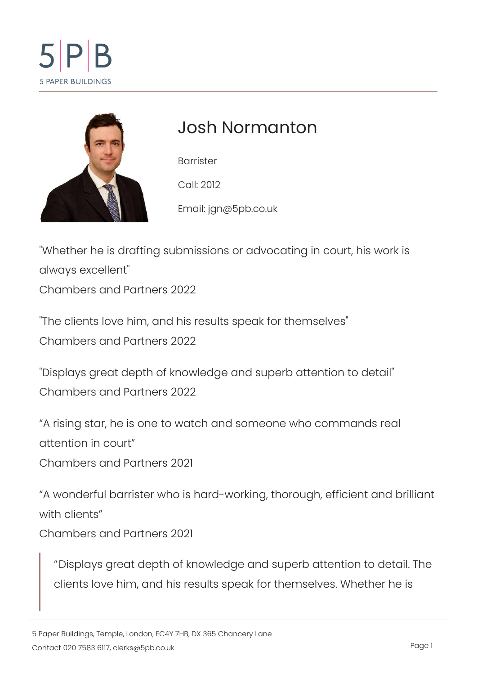# Josh Normanton

Barrister Call: 2012 Emaijlgn@5pb.co.uk

"Whether he is drafting submissions or advocating in cou always excellent" Chambers and Partners 2022

"The clients love him, and his results speak for themsely Chambers and Partners 2022

"Displays great depth of knowledge and superb attention Chambers and Partners 2022

A rising star, he is one to watch and someone who comm attention in court Chambers and Partners 2021

A wonderful barrister who is hard-working, th**brolughent ef** with clients Chambers and Partners 2021

Displays great depth of knowledge and superb attentic clients love him, and his results speak for themselves.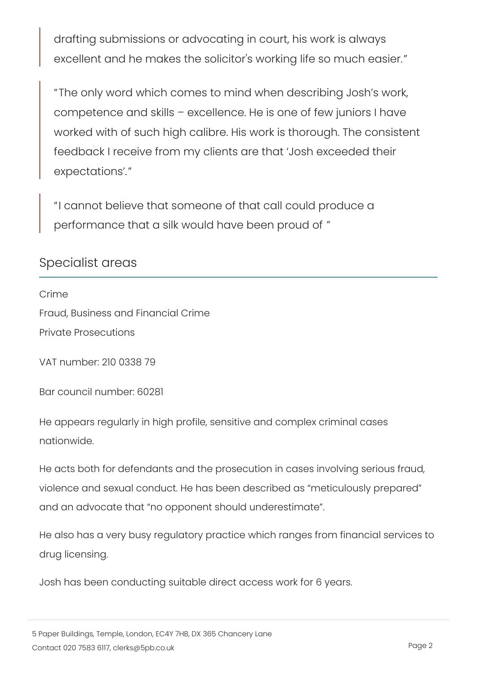drafting submissions or advocating in court, his work i excellent and he makes the solicitor's working life so

The only word which comes to mind when describing J competence and skills excellence. He is one of few juniors worked with of such high calibre. His work is thorough feedback I receive from my clients are that Josh exce expectations .

I cannot believe that someone of that call could produ performance that a silk would have been proud of

Specialist areas

Crime Fraud, Business and Financial Crime Private Prosecutions

VAT number: 210 0338 79

Bar council number: 60281

He appears regularly in high profile, sensitive and complex crin nationwide.

He acts both for defendants and the prosecution in cases involv violence and sexual conduct. He has been described as meticul and an advocate that no opponent should underestimate .

He also has a very busy regulatory practice which ranges from drug licensing.

Josh has been conducting suitable direct access work for 6 yea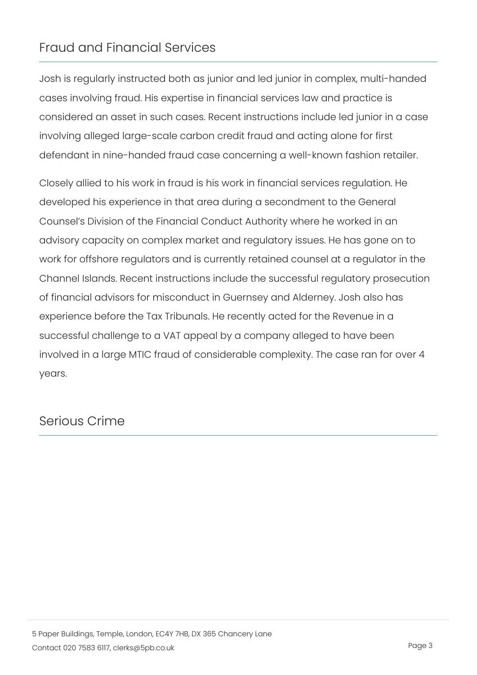### Fraud and Financial Services

Josh is regularly instructed both as junior and led junior in com cases involving fraud. His expertise in financial services law an considered an asset in such cases. Recent instructions include involving alleged large-scale carbon credit fraud and acting alo defendant in nine-handed fraud case concerning a well-known fa

Closely allied to his work in fraud is his work in financial servi developed his experience in that area during a secondment to t Counsel s Division of the Financial Conduct Authority where he advisory capacity on complex market and regulatory issues. He work for offshore regulators and is currently retained counsel a Channel Islands. Recent instructions include the successful reg of financial advisors for misconduct in Guernsey and Alderney. experience before the Tax Tribunals. He recently acted for the successful challenge to a VAT appeal by a company alleged to I involved in a large MTIC fraud of considerable complexity. The years.

## Serious Crime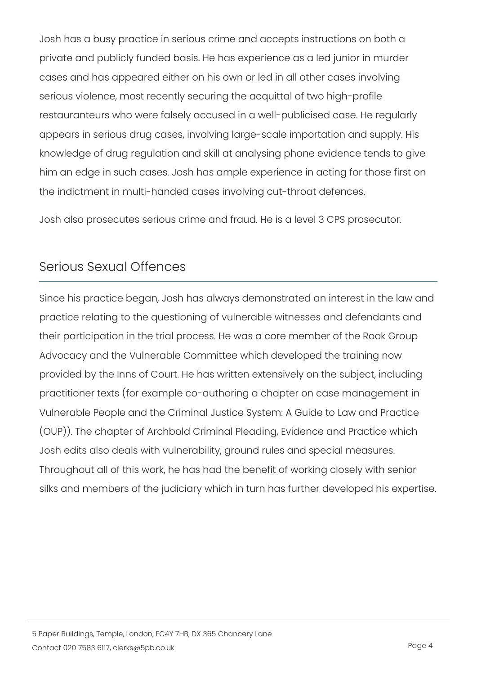Josh has a busy practice in serious crime and accepts instructi private and publicly funded basis. He has experience as a led j cases and has appeared either on his own or led in all other ca serious violence, most recently securing the acquittal of two hi restauranteurs who were falsely accused in a well-publicised ca appears in serious drug cases, involving large-scale importatio knowledge of drug regulation and skill at analysing phone evide him an edge in such cases. Josh has ample experience in acting the indictment in multi-handed cases involving cut-throat defen

Josh also prosecutes serious crime and fraud. He is a level 3 C

### Serious Sexual Offences

Since his practice began, Josh has always demonstrated an inte practice relating to the questioning of vulnerable witnesses and their participation in the trial process. He was a core member o Advocacy and the Vulnerable Committee which developed the training provided by the Inns of Court. He has written extensively on the practitioner texts (for example co-authoring a chapter on case in Vulnerable People and the Criminal Justice System: A Guide to (OUP)). The chapter of Archbold Criminal Pleading, Evidence an Josh edits also deals with vulnerability, ground rules and speci Throughout all of this work, he has had the benefit of working c silks and members of the judiciary which in turn has further dev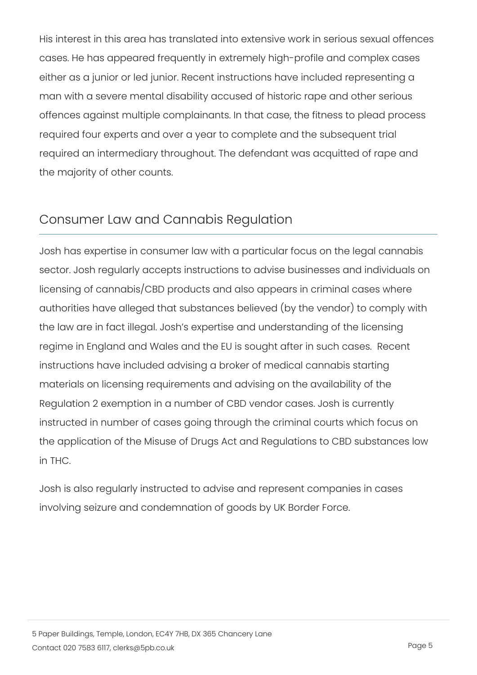His interest in this area has translated into extensive work in s cases. He has appeared frequently in extremely high-profile and either as a junior or led junior. Recent instructions have includ man with a severe mental disability accused of historic rape an offences against multiple complainants. In that case, the fitnes required four experts and over a year to complete and the subs required an intermediary throughout. The defendant was acquitt the majority of other counts.

### Consumer Law and Cannabis Regulation

Josh has expertise in consumer law with a particular focus on t sector. Josh regularly accepts instructions to advise businesse licensing of cannabis/CBD products and also appears in crimina authorities have alleged that substances believed (by the vendo the law are in fact illegal. Josh s expertise and understanding regime in England and Wales and the EU is sought after in such instructions have included advising a broker of medical cannabi materials on licensing requirements and advising on the availab Regulation 2 exemption in a number of CBD vendor cases. Josh instructed in number of cases going through the criminal courts the application of the Misuse of Drugs Act and Regulations to C in THC.

Josh is also regularly instructed to advise and represent compa involving seizure and condemnation of goods by UK Border Force.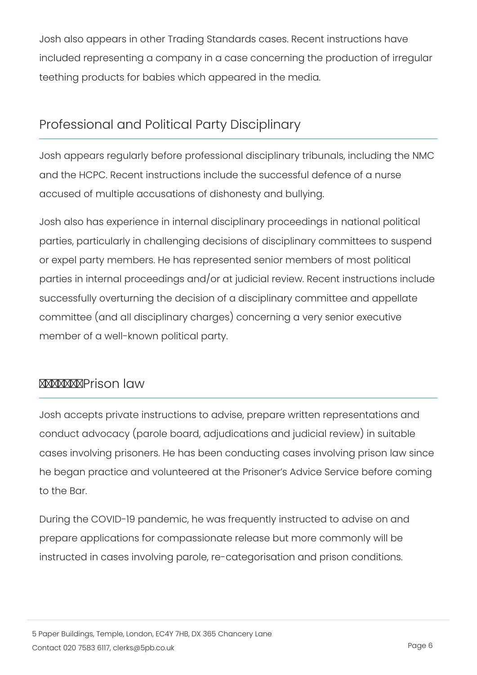Josh also appears in other Trading Standards cases. Recent ins  $in$ cluded representing a company in a case concerning the prod teething products for babies which appeared in the media.

# Professional and Political Party Disciplinary

Josh appears regularly before professional disciplinary tribunal and the HCPC. Recent instructions include the successful defen accused of multiple accusations of dishonesty and bullying.

Josh also has experience in internal disciplinary proceedings in parties, particularly in challenging decisions of disciplinary com or expel party members. He has represented senior members of parties in internal proceedings and/or at judicial review. Recent successfully overturning the decision of a disciplinary committe committee (and all disciplinary charges) concerning a very seni member of a well-known political party.

### Prison law

Josh accepts private instructions to advise, prepare written rep conduct advocacy (parole board, adjudications and judicial revi cases involving prisoners. He has been conducting cases involv he began practice and volunteered at the Prisoner s Advice Ser to the Bar.

During the COVID-19 pandemic, he was frequently instructed to prepare applications for compassionate release but more commo instructed in cases involving parole, re-categorisation and pris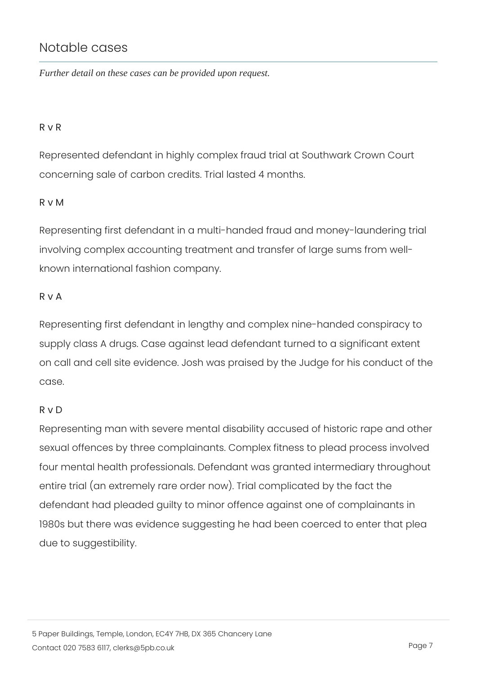### Notable cases

Further detail on these cases can be provided upon request.

#### R v R

Represented defendant in highly complex fraud trial at Southwa concerning sale of carbon credits. Trial lasted 4 months.

#### R v M

Representing first defendant in a multi-handed fraud and money involving complex accounting treatment and transfer of large su known international fashion company.

#### R v A

Representing first defendant in lengthy and complex nine-hande supply class A drugs. Case against lead defendant turned to a s on call and cell site evidence. Josh was praised by the Judge for case.

#### R v D

Representing man with severe mental disability accused of histe sexual offences by three complainants. Complex fitness to plea four mental health professionals. Defendant was granted interm entire trial (an extremely rare order now). Trial complicated by defendant had pleaded guilty to minor offence against one of co 1980s but there was evidence suggesting he had been coerced to due to suggestibility.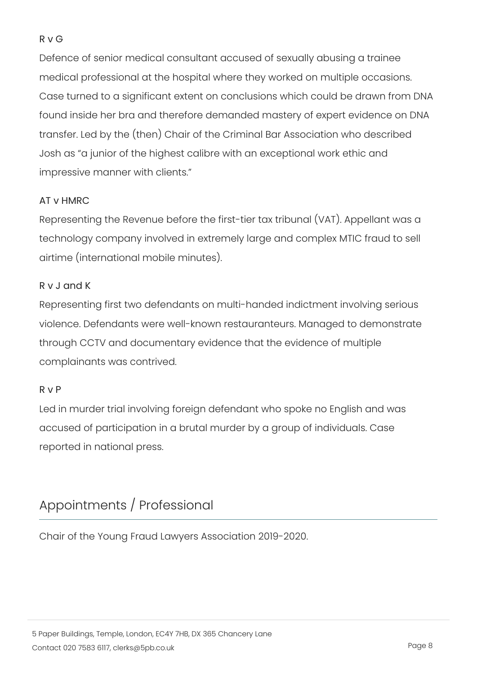#### R v G

Defence of senior medical consultant accused of sexually abusi medical professional at the hospital where they worked on multi Case turned to a significant extent on conclusions which could found inside her bra and therefore demanded mastery of expert transfer. Led by the (then) Chair of the Criminal Bar Associatio Josh as a junior of the highest calibre with an exceptional wor impressive manner with clients.

#### AT v HMRC

Representing the Revenue before the first-tier tax tribunal (VAT). technology company involved in extremely large and complex MT airtime (international mobile minutes).

### R v J and K

Representing first two defendants on multi-handed indictment in violence. Defendants were well-known restauranteurs. Managed through CCTV and documentary evidence that the evidence of m complainants was contrived.

#### R v P

Led in murder trial involving foreign defendant who spoke no Er accused of participation in a brutal murder by a group of individ reported in national press.

### Appointments / Professional

Chair of the Young Fraud Lawyers Association 2019-2020.